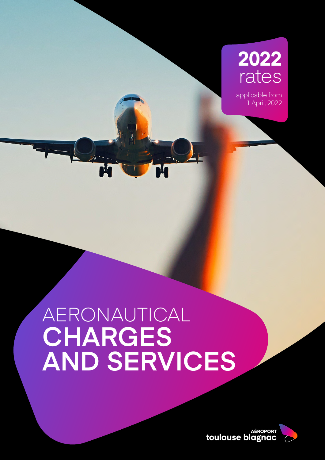## **2022** rates

applicable from 1 April, 2022

## AERONAUTICAL **CHARGES AND SERVICES**

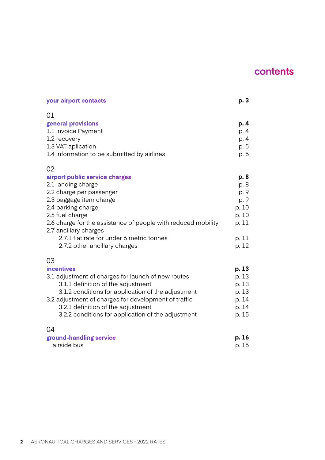## **contents**

| your airport contacts                                                                                                                                                                                                                                                                                                              | p. 3                                                                      |
|------------------------------------------------------------------------------------------------------------------------------------------------------------------------------------------------------------------------------------------------------------------------------------------------------------------------------------|---------------------------------------------------------------------------|
| 01<br>general provisions<br>1.1 invoice Payment<br>1.2 recovery<br>1.3 VAT aplication<br>1.4 information to be submitted by airlines                                                                                                                                                                                               | p. 4<br>p. 4<br>p. 4<br>p. 5<br>p. 6                                      |
| 02<br>airport public service charges<br>2.1 landing charge<br>2.2 charge per passenger<br>2.3 baggage item charge<br>2.4 parking charge<br>2.5 fuel charge<br>2.6 charge for the assistance of people with reduced mobility<br>2.7 ancillary charges<br>2.7.1 flat rate for under 6 metric tonnes<br>2.7.2 other ancillary charges | p. 8<br>p. 8<br>p. 9<br>p. 9<br>p. 10<br>p. 10<br>p. 11<br>p. 11<br>p. 12 |
| 03<br><b>incentives</b><br>3.1 adjustment of charges for launch of new routes<br>3.1.1 definition of the adjustment<br>3.1.2 conditions for application of the adjustment<br>3.2 adjustment of charges for development of traffic<br>3.2.1 definition of the adjustment<br>3.2.2 conditions for application of the adjustment      | p. 13<br>p. 13<br>p. 13<br>p. 13<br>p. 14<br>p. 14<br>p. 15               |
| 04<br>ground-handling service<br>airside bus                                                                                                                                                                                                                                                                                       | p. 16<br>p. 16                                                            |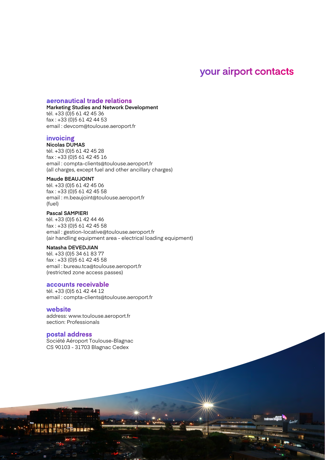## **your airport contacts**

AERONAUTICAL CHARGES AND SERVICES - 2022 RATES **3**

#### **aeronautical trade relations**

**Marketing Studies and Network Development** tél. +33 (0)5 61 42 45 36 fax : +33 (0)5 61 42 44 53

email : devcom@toulouse.aeroport.fr

#### **invoicing**

**Nicolas DUMAS** tél. +33 (0)5 61 42 45 28 fax : +33 (0)5 61 42 45 16 email : compta-clients@toulouse.aeroport.fr (all charges, except fuel and other ancillary charges)

#### **Maude BEAUJOINT**

tél. +33 (0)5 61 42 45 06 fax : +33 (0)5 61 42 45 58 email : m.beaujoint@toulouse.aeroport.fr (fuel)

#### **Pascal SAMPIERI**

tél. +33 (0)5 61 42 44 46 fax : +33 (0)5 61 42 45 58 email : gestion-locative@toulouse.aeroport.fr (air handling equipment area - electrical loading equipment)

#### **Natasha DEVEDJIAN**

tél. +33 (0)5 34 61 83 77 fax : +33 (0)5 61 42 45 58 email : bureau.tca@toulouse.aeroport.fr (restricted zone access passes)

#### **accounts receivable**

tél. +33 (0)5 61 42 44 12 email : compta-clients@toulouse.aeroport.fr

#### **website**

address: www.toulouse.aeroport.fr section: Professionals

#### **postal address**

Société Aéroport Toulouse-Blagnac CS 90103 - 31703 Blagnac Cedex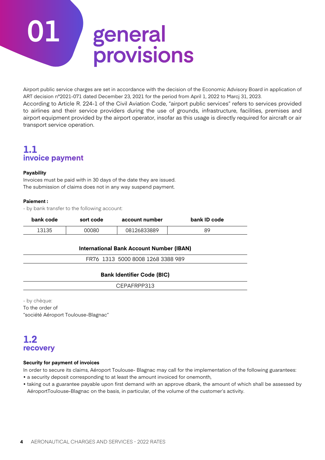# **01 general provisions**

Airport public service charges are set in accordance with the decision of the Economic Advisory Board in application of ART decision n°2021-071 dated December 23, 2021 for the period from April 1, 2022 to Marcj 31, 2023.

According to Article R. 224-1 of the Civil Aviation Code, "airport public services" refers to services provided to airlines and their service providers during the use of grounds, infrastructure, facilities, premises and airport equipment provided by the airport operator, insofar as this usage is directly required for aircraft or air transport service operation.

## **1.1 invoice payment**

#### **Payability**

Invoices must be paid with in 30 days of the date they are issued. The submission of claims does not in any way suspend payment.

#### **Paiement :**

- by bank transfer to the following account:

| bank code | sort code | account number | bank ID code |
|-----------|-----------|----------------|--------------|
| 13135     | 00080     | 08126833889    | 89           |

#### **International Bank Account Number (IBAN)**

FR76 1313 5000 8008 1268 3388 989

#### **Bank Identifier Code (BIC)**

CEPAFRPP313

- by chèque: To the order of "société Aéroport Toulouse-Blagnac"

### **1.2 recovery**

#### **Security for payment of invoices**

In order to secure its claims, Aéroport Toulouse- Blagnac may call for the implementation of the following guarantees:

• a security deposit corresponding to at least the amount invoiced for onemonth,

• taking out a guarantee payable upon first demand with an approve dbank, the amount of which shall be assessed by AéroportToulouse-Blagnac on the basis, in particular, of the volume of the customer's activity.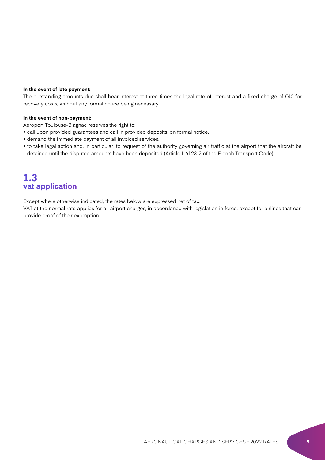#### **In the event of late payment:**

The outstanding amounts due shall bear interest at three times the legal rate of interest and a fixed charge of €40 for recovery costs, without any formal notice being necessary.

#### **In the event of non-payment:**

Aéroport Toulouse-Blagnac reserves the right to:

- call upon provided guarantees and call in provided deposits, on formal notice,
- demand the immediate payment of all invoiced services,
- to take legal action and, in particular, to request of the authority governing air traffic at the airport that the aircraft be detained until the disputed amounts have been deposited (Article L.6123-2 of the French Transport Code).

### **1.3 vat application**

Except where otherwise indicated, the rates below are expressed net of tax.

VAT at the normal rate applies for all airport charges, in accordance with legislation in force, except for airlines that can provide proof of their exemption.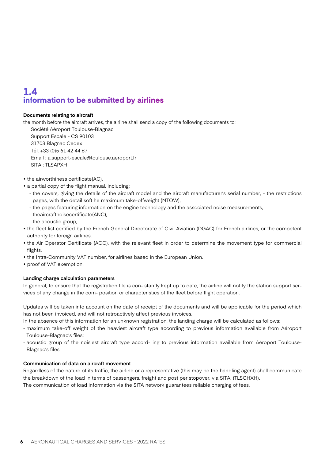## **1.4 information to be submitted by airlines**

#### **Documents relating to aircraft**

the month before the aircraft arrives, the airline shall send a copy of the following documents to:

Société Aéroport Toulouse-Blagnac Support Escale - CS 90103 31703 Blagnac Cedex Tél. +33 (0)5 61 42 44 67 Email : a.support-escale@toulouse.aeroport.fr SITA : TLSAPXH

- the airworthiness certificate(AC),
- a partial copy of the flight manual, including:
	- the covers, giving the details of the aircraft model and the aircraft manufacturer's serial number, the restrictions pages, with the detail soft he maximum take-offweight (MTOW),
	- the pages featuring information on the engine technology and the associated noise measurements,
	- theaircraftnoisecertificate(ANC),
	- the acoustic group,
- the fleet list certified by the French General Directorate of Civil Aviation (DGAC) for French airlines, or the competent authority for foreign airlines,
- the Air Operator Certificate (AOC), with the relevant fleet in order to determine the movement type for commercial flights,
- the Intra-Community VAT number, for airlines based in the European Union.
- proof of VAT exemption.

#### **Landing charge calculation parameters**

In general, to ensure that the registration file is con- stantly kept up to date, the airline will notify the station support services of any change in the com- position or characteristics of the fleet before flight operation.

Updates will be taken into account on the date of receipt of the documents and will be applicable for the period which has not been invoiced, and will not retroactively affect previous invoices.

In the absence of this information for an unknown registration, the landing charge will be calculated as follows:

- maximum take-off weight of the heaviest aircraft type according to previous information available from Aéroport Toulouse-Blagnac's files;
- acoustic group of the noisiest aircraft type accord- ing to previous information available from Aéroport Toulouse-Blagnac's files.

#### **Communication of data on aircraft movement**

Regardless of the nature of its traffic, the airline or a representative (this may be the handling agent) shall communicate the breakdown of the load in terms of passengers, freight and post per stopover, via SITA, (TLSCHXH). The communication of load information via the SITA network guarantees reliable charging of fees.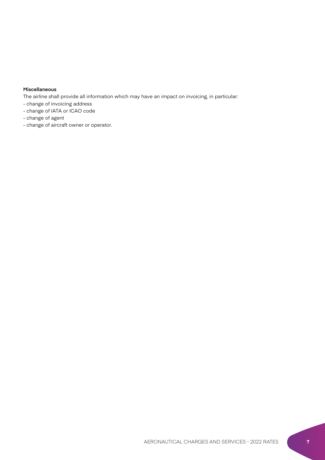#### **Miscellaneous**

The airline shall provide all information which may have an impact on invoicing, in particular:

- change of invoicing address
- change of IATA or ICAO code
- change of agent
- change of aircraft owner or operator.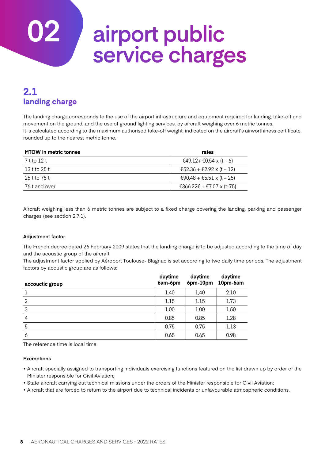## **02 airport public service charges**

## **2.1 landing charge**

The landing charge corresponds to the use of the airport infrastructure and equipment required for landing, take-off and movement on the ground, and the use of ground lighting services, by aircraft weighing over 6 metric tonnes. It is calculated according to the maximum authorised take-off weight, indicated on the aircraft's airworthiness certificate, rounded up to the nearest metric tonne.

| <b>MTOW</b> in metric tonnes | rates                     |
|------------------------------|---------------------------|
| 7 t to 12 t                  | €49.12+ €0.54 x (t – 6)   |
| 13 t to 25 t                 | €52.36 + €2.92 x (t – 12) |
| 26 t to 75 t                 | €90.48 + €5.51 x (t – 25) |
| 76 t and over                | €366.22€ + €7.07 x (t-75) |

Aircraft weighing less than 6 metric tonnes are subject to a fixed charge covering the landing, parking and passenger charges (see section 2.7.1).

#### **Adjustment factor**

The French decree dated 26 February 2009 states that the landing charge is to be adjusted according to the time of day and the acoustic group of the aircraft.

The adjustment factor applied by Aéroport Toulouse- Blagnac is set according to two daily time periods. The adjustment factors by acoustic group are as follows:

| accouctic group | daytime<br>6am-6pm | daytime<br>6pm-10pm | daytime<br>10pm-6am |
|-----------------|--------------------|---------------------|---------------------|
|                 | 1.40               | 1,40                | 2.10                |
| 2               | 1.15               | 1.15                | 1.73                |
| 3               | 1.00               | 1.00                | 1.50                |
| 4               | 0.85               | 0.85                | 1.28                |
| 5               | 0.75               | 0.75                | 1.13                |
| 6               | 0.65               | 0.65                | 0.98                |

The reference time is local time.

#### **Exemptions**

- Aircraft specially assigned to transporting individuals exercising functions featured on the list drawn up by order of the Minister responsible for Civil Aviation;
- State aircraft carrying out technical missions under the orders of the Minister responsible for Civil Aviation;
- Aircraft that are forced to return to the airport due to technical incidents or unfavourable atmospheric conditions.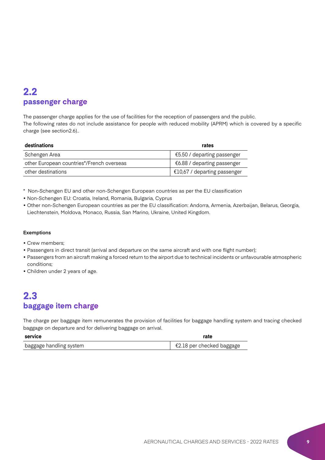## **2.2 passenger charge**

The passenger charge applies for the use of facilities for the reception of passengers and the public. The following rates do not include assistance for people with reduced mobility (APRM) which is covered by a specific charge (see section2.6)..

| destinations<br>rates                     |                                       |
|-------------------------------------------|---------------------------------------|
| Schengen Area                             | $\epsilon$ 5.50 / departing passenger |
| other European countries*/French overseas | €6.88 / departing passenger           |
| other destinations                        | $\in$ 10,67 / departing passenger     |

\* Non-Schengen EU and other non-Schengen European countries as per the EU classification

• Non-Schengen EU: Croatia, Ireland, Romania, Bulgaria, Cyprus

• Other non-Schengen European countries as per the EU classification: Andorra, Armenia, Azerbaijan, Belarus, Georgia, Liechtenstein, Moldova, Monaco, Russia, San Marino, Ukraine, United Kingdom.

#### **Exemptions**

- Crew members;
- Passengers in direct transit (arrival and departure on the same aircraft and with one flight number);
- Passengers from an aircraft making a forced return to the airport due to technical incidents or unfavourable atmospheric conditions;
- Children under 2 years of age.

## **2.3 baggage item charge**

The charge per baggage item remunerates the provision of facilities for baggage handling system and tracing checked baggage on departure and for delivering baggage on arrival.

| service                 | rate                                           |
|-------------------------|------------------------------------------------|
| baggage handling system | $\epsilon$ $\epsilon$ 2.18 per checked baggage |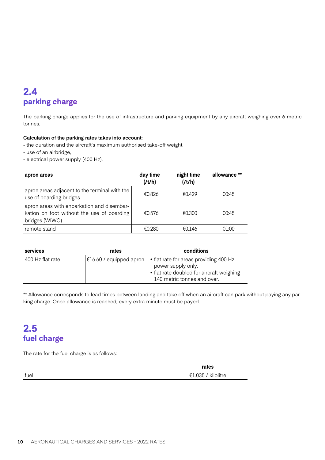## **2.4 parking charge**

The parking charge applies for the use of infrastructure and parking equipment by any aircraft weighing over 6 metric tonnes.

#### **Calculation of the parking rates takes into account:**

- the duration and the aircraft's maximum authorised take-off weight,

- use of an airbridge,
- electrical power supply (400 Hz).

| apron areas                                                                                                | day time<br>(It/h) | night time<br>(It/h) | allowance ** |
|------------------------------------------------------------------------------------------------------------|--------------------|----------------------|--------------|
| apron areas adjacent to the terminal with the<br>use of boarding bridges                                   | €0.826             | €0.429               | 00:45        |
| apron areas with enbarkation and disembar-<br>kation on foot without the use of boarding<br>bridges (WIWO) | €0.576             | €0.300               | 00:45        |
| remote stand                                                                                               | €0.280             | €0.146               | 01:00        |

| services         | rates                   | conditions                                                                                                                               |
|------------------|-------------------------|------------------------------------------------------------------------------------------------------------------------------------------|
| 400 Hz flat rate | €16.60 / equipped apron | • flat rate for areas providing 400 Hz<br>power supply only.<br>• flat rate doubled for aircraft weighing<br>140 metric tonnes and over. |

\*\* Allowance corresponds to lead times between landing and take off when an aircraft can park without paying any parking charge. Once allowance is reached, every extra minute must be payed.

## **2.5 fuel charge**

The rate for the fuel charge is as follows:

|      | rates               |
|------|---------------------|
| fuel | kilolitre<br>€1.035 |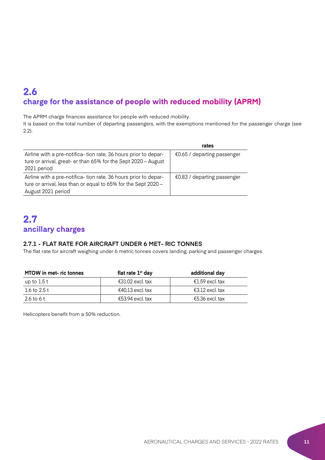## **2.6 charge for the assistance of people with reduced mobility (APRM)**

The APRM charge finances assistance for people with reduced mobility.

It is based on the total number of departing passengers, with the exemptions mentioned for the passenger charge (see 2.2).

|                                                                                                                                                         | rates                                 |
|---------------------------------------------------------------------------------------------------------------------------------------------------------|---------------------------------------|
| Airline with a pre-notifica-tion rate, 36 hours prior to depar-<br>ture or arrival, great- er than 65% for the Sept 2020 - August<br>2021 period        | $€0.65$ / departing passenger         |
| Airline with a pre-notifica-tion rate, 36 hours prior to depar-<br>ture or arrival, less than or equal to 65% for the Sept 2020 -<br>August 2021 period | $\epsilon$ 0.83 / departing passenger |

## **2.7 ancillary charges**

#### **2.7.1 - FLAT RATE FOR AIRCRAFT UNDER 6 MET- RIC TONNES**

The flat rate for aircraft weighing under 6 metric tonnes covers landing, parking and passenger charges.

| <b>MTOW</b> in met-ric tonnes | flat rate $1st$ day | additional day  |
|-------------------------------|---------------------|-----------------|
| up to $1.5$ t                 | €31.02 excl. tax    | €1.59 excl. tax |
| 1.6 to 2.5 t                  | €40.13 excl. tax    | €3.12 excl. tax |
| 2.6 to 6 t                    | €53.94 excl. tax    | €5.36 excl. tax |

Helicopters benefit from a 50% reduction.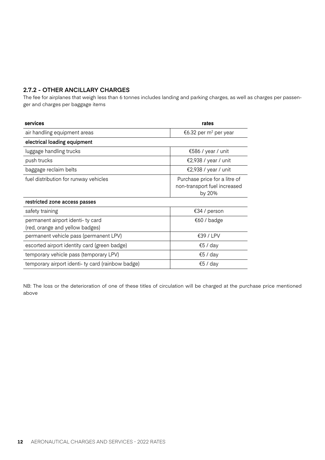#### **2.7.2 - OTHER ANCILLARY CHARGES**

The fee for airplanes that weigh less than 6 tonnes includes landing and parking charges, as well as charges per passenger and charges per baggage items

| services                                                             | rates                                                                   |
|----------------------------------------------------------------------|-------------------------------------------------------------------------|
| air handling equipment areas                                         | €6.32 per m <sup>2</sup> per year                                       |
| electrical loading equipment                                         |                                                                         |
| luggage handling trucks                                              | €586 / year / unit                                                      |
| push trucks                                                          | €2,938 / year / unit                                                    |
| baggage reclaim belts                                                | €2,938 / year / unit                                                    |
| fuel distribution for runway vehicles                                | Purchase price for a litre of<br>non-transport fuel increased<br>by 20% |
| restricted zone access passes                                        |                                                                         |
| safety training                                                      | €34 / person                                                            |
| permanent airport identi- ty card<br>(red, orange and yellow badges) | €60 / badge                                                             |
| permanent vehicle pass (permanent LPV)                               | €39 / LPV                                                               |
| escorted airport identity card (green badge)                         | €5 / day                                                                |
| temporary vehicle pass (temporary LPV)                               | €5 / day                                                                |
| temporary airport identi-ty card (rainbow badge)                     | €5 / day                                                                |

NB: The loss or the deterioration of one of these titles of circulation will be charged at the purchase price mentioned above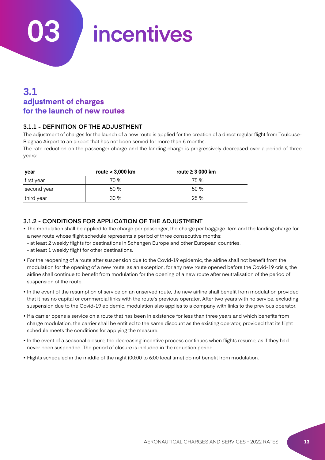**03 incentives**

## **3.1 adjustment of charges for the launch of new routes**

#### **3.1.1 - DEFINITION OF THE ADJUSTMENT**

The adjustment of charges for the launch of a new route is applied for the creation of a direct regular flight from Toulouse-Blagnac Airport to an airport that has not been served for more than 6 months.

The rate reduction on the passenger charge and the landing charge is progressively decreased over a period of three years:

| year        | route < 3,000 km | route $\geq 3000$ km |
|-------------|------------------|----------------------|
| first year  | 70 %             | 75 %                 |
| second year | 50 %             | 50 %                 |
| third year  | 30 %             | 25 %                 |

#### **3.1.2 - CONDITIONS FOR APPLICATION OF THE ADJUSTMENT**

- The modulation shall be applied to the charge per passenger, the charge per baggage item and the landing charge for a new route whose flight schedule represents a period of three consecutive months:
	- at least 2 weekly flights for destinations in Schengen Europe and other European countries,
	- at least 1 weekly flight for other destinations.
- For the reopening of a route after suspension due to the Covid-19 epidemic, the airline shall not benefit from the modulation for the opening of a new route; as an exception, for any new route opened before the Covid-19 crisis, the airline shall continue to benefit from modulation for the opening of a new route after neutralisation of the period of suspension of the route.
- In the event of the resumption of service on an unserved route, the new airline shall benefit from modulation provided that it has no capital or commercial links with the route's previous operator. After two years with no service, excluding suspension due to the Covid-19 epidemic, modulation also applies to a company with links to the previous operator.
- If a carrier opens a service on a route that has been in existence for less than three years and which benefits from charge modulation, the carrier shall be entitled to the same discount as the existing operator, provided that its flight schedule meets the conditions for applying the measure.
- In the event of a seasonal closure, the decreasing incentive process continues when flights resume, as if they had never been suspended. The period of closure is included in the reduction period.
- Flights scheduled in the middle of the night (00:00 to 6:00 local time) do not benefit from modulation.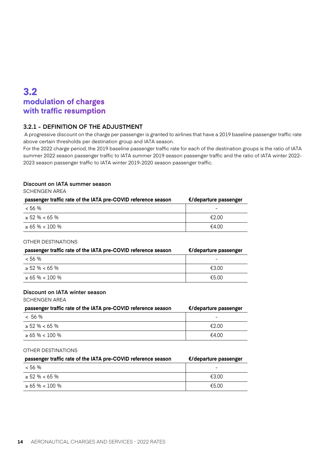## **3.2 modulation of charges with traffic resumption**

#### **3.2.1 - DEFINITION OF THE ADJUSTMENT**

 A progressive discount on the charge per passenger is granted to airlines that have a 2019 baseline passenger traffic rate above certain thresholds per destination group and IATA season.

For the 2022 charge period, the 2019 baseline passenger traffic rate for each of the destination groups is the ratio of IATA summer 2022 season passenger traffic to IATA summer 2019 season passenger traffic and the ratio of IATA winter 2022- 2023 season passenger traffic to IATA winter 2019-2020 season passenger traffic.

#### **Discount on IATA summer season**

SCHENGEN AREA

| passenger traffic rate of the IATA pre-COVID reference season | €/departure passenger |
|---------------------------------------------------------------|-----------------------|
| < 56 %                                                        | -                     |
| $> 52\% < 65\%$                                               | €2.00                 |
| $> 65 \% < 100 \%$                                            | €4 00                 |

#### OTHER DESTINATIONS

| passenger traffic rate of the IATA pre-COVID reference season | €/departure passenger |
|---------------------------------------------------------------|-----------------------|
| $< 56 \%$                                                     | -                     |
| $> 52\% < 65\%$                                               | €300                  |
| $> 65 \% < 100 \%$                                            | €5.00                 |

#### **Discount on IATA winter season**

SCHENGEN AREA

| passenger traffic rate of the IATA pre-COVID reference season | €/departure passenger |
|---------------------------------------------------------------|-----------------------|
| ~ 56 %                                                        |                       |
| $> 52\% < 65\%$                                               | €2.00                 |
| $> 65 \% < 100 \%$                                            | €4.00                 |

#### OTHER DESTINATIONS

| passenger traffic rate of the IATA pre-COVID reference season | €/departure passenger |
|---------------------------------------------------------------|-----------------------|
| < 56 %                                                        |                       |
| $\geq 52\% < 65\%$                                            | €3.00                 |
| $> 65 \% < 100 \%$                                            | €5.00                 |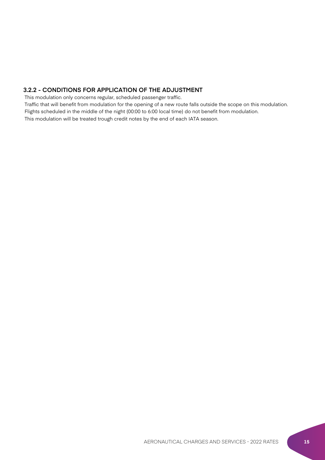#### **3.2.2 - CONDITIONS FOR APPLICATION OF THE ADJUSTMENT**

This modulation only concerns regular, scheduled passenger traffic.

 Traffic that will benefit from modulation for the opening of a new route falls outside the scope on this modulation. Flights scheduled in the middle of the night (00:00 to 6:00 local time) do not benefit from modulation.

This modulation will be treated trough credit notes by the end of each IATA season.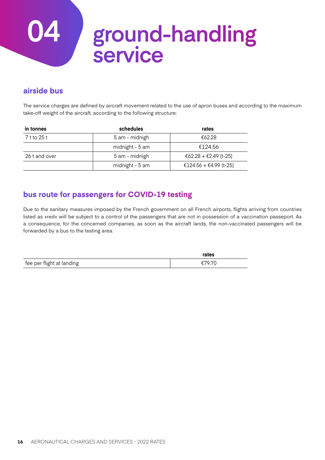## **04 ground-handling service**

### **airside bus**

The service charges are defined by aircraft movement related to the use of apron buses and according to the maximum take-off weight of the aircraft, according to the following structure:

| in tonnes     | schedules       | rates                  |
|---------------|-----------------|------------------------|
| 7 t to 25 t   | 5 am - midnigh  | €62.28                 |
|               | midnight - 5 am | €124.56                |
| 26 t and over | 5 am - midnigh  | €62.28 + €2.49 (t-25)  |
|               | midnight - 5 am | €124.56 + €4.99 (t-25) |

### **bus route for passengers for COVID-19 testing**

Due to the sanitary measures imposed by the French government on all French airports, flights arriving from countries listed as «red» will be subject to a control of the passengers that are not in possession of a vaccination passeport. As a consequence, for the concerned companies, as soon as the aircraft lands, the non-vaccinated passengers will be forwarded by a bus to the testing area.

|                           | rates  |
|---------------------------|--------|
| fee per flight at landing | £70.70 |